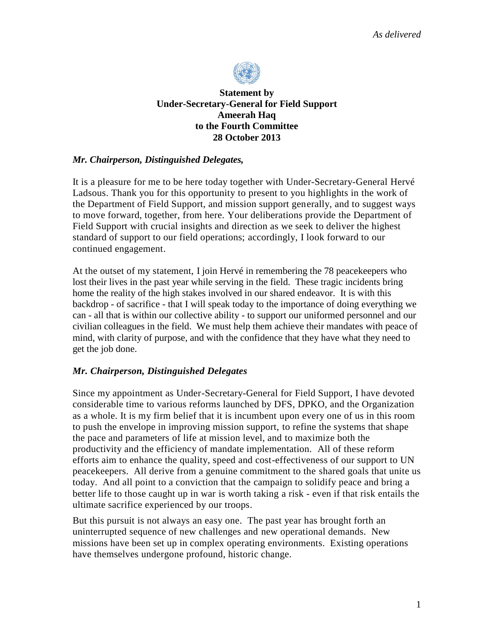

# **Statement by Under-Secretary-General for Field Support Ameerah Haq to the Fourth Committee 28 October 2013**

### *Mr. Chairperson, Distinguished Delegates,*

It is a pleasure for me to be here today together with Under-Secretary-General Hervé Ladsous. Thank you for this opportunity to present to you highlights in the work of the Department of Field Support, and mission support generally, and to suggest ways to move forward, together, from here. Your deliberations provide the Department of Field Support with crucial insights and direction as we seek to deliver the highest standard of support to our field operations; accordingly, I look forward to our continued engagement.

At the outset of my statement, I join Hervé in remembering the 78 peacekeepers who lost their lives in the past year while serving in the field. These tragic incidents bring home the reality of the high stakes involved in our shared endeavor. It is with this backdrop - of sacrifice - that I will speak today to the importance of doing everything we can - all that is within our collective ability - to support our uniformed personnel and our civilian colleagues in the field. We must help them achieve their mandates with peace of mind, with clarity of purpose, and with the confidence that they have what they need to get the job done.

# *Mr. Chairperson, Distinguished Delegates*

Since my appointment as Under-Secretary-General for Field Support, I have devoted considerable time to various reforms launched by DFS, DPKO, and the Organization as a whole. It is my firm belief that it is incumbent upon every one of us in this room to push the envelope in improving mission support, to refine the systems that shape the pace and parameters of life at mission level, and to maximize both the productivity and the efficiency of mandate implementation. All of these reform efforts aim to enhance the quality, speed and cost-effectiveness of our support to UN peacekeepers. All derive from a genuine commitment to the shared goals that unite us today. And all point to a conviction that the campaign to solidify peace and bring a better life to those caught up in war is worth taking a risk - even if that risk entails the ultimate sacrifice experienced by our troops.

But this pursuit is not always an easy one. The past year has brought forth an uninterrupted sequence of new challenges and new operational demands. New missions have been set up in complex operating environments. Existing operations have themselves undergone profound, historic change.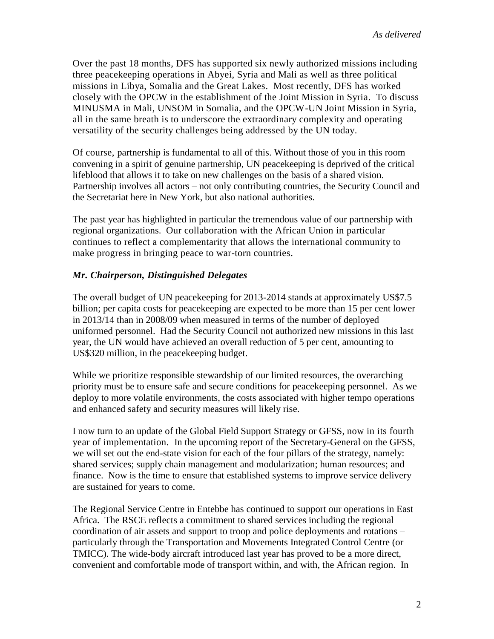Over the past 18 months, DFS has supported six newly authorized missions including three peacekeeping operations in Abyei, Syria and Mali as well as three political missions in Libya, Somalia and the Great Lakes. Most recently, DFS has worked closely with the OPCW in the establishment of the Joint Mission in Syria. To discuss MINUSMA in Mali, UNSOM in Somalia, and the OPCW-UN Joint Mission in Syria, all in the same breath is to underscore the extraordinary complexity and operating versatility of the security challenges being addressed by the UN today.

Of course, partnership is fundamental to all of this. Without those of you in this room convening in a spirit of genuine partnership, UN peacekeeping is deprived of the critical lifeblood that allows it to take on new challenges on the basis of a shared vision. Partnership involves all actors – not only contributing countries, the Security Council and the Secretariat here in New York, but also national authorities.

The past year has highlighted in particular the tremendous value of our partnership with regional organizations. Our collaboration with the African Union in particular continues to reflect a complementarity that allows the international community to make progress in bringing peace to war-torn countries.

### *Mr. Chairperson, Distinguished Delegates*

The overall budget of UN peacekeeping for 2013-2014 stands at approximately US\$7.5 billion; per capita costs for peacekeeping are expected to be more than 15 per cent lower in 2013/14 than in 2008/09 when measured in terms of the number of deployed uniformed personnel. Had the Security Council not authorized new missions in this last year, the UN would have achieved an overall reduction of 5 per cent, amounting to US\$320 million, in the peacekeeping budget.

While we prioritize responsible stewardship of our limited resources, the overarching priority must be to ensure safe and secure conditions for peacekeeping personnel. As we deploy to more volatile environments, the costs associated with higher tempo operations and enhanced safety and security measures will likely rise.

I now turn to an update of the Global Field Support Strategy or GFSS, now in its fourth year of implementation. In the upcoming report of the Secretary-General on the GFSS, we will set out the end-state vision for each of the four pillars of the strategy, namely: shared services; supply chain management and modularization; human resources; and finance. Now is the time to ensure that established systems to improve service delivery are sustained for years to come.

The Regional Service Centre in Entebbe has continued to support our operations in East Africa. The RSCE reflects a commitment to shared services including the regional coordination of air assets and support to troop and police deployments and rotations – particularly through the Transportation and Movements Integrated Control Centre (or TMICC). The wide-body aircraft introduced last year has proved to be a more direct, convenient and comfortable mode of transport within, and with, the African region. In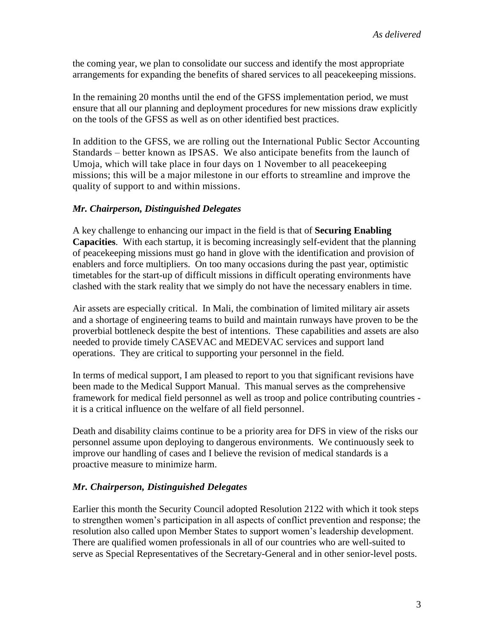the coming year, we plan to consolidate our success and identify the most appropriate arrangements for expanding the benefits of shared services to all peacekeeping missions.

In the remaining 20 months until the end of the GFSS implementation period, we must ensure that all our planning and deployment procedures for new missions draw explicitly on the tools of the GFSS as well as on other identified best practices.

In addition to the GFSS, we are rolling out the International Public Sector Accounting Standards – better known as IPSAS. We also anticipate benefits from the launch of Umoja, which will take place in four days on 1 November to all peacekeeping missions; this will be a major milestone in our efforts to streamline and improve the quality of support to and within missions.

### *Mr. Chairperson, Distinguished Delegates*

A key challenge to enhancing our impact in the field is that of **Securing Enabling Capacities**. With each startup, it is becoming increasingly self-evident that the planning of peacekeeping missions must go hand in glove with the identification and provision of enablers and force multipliers. On too many occasions during the past year, optimistic timetables for the start-up of difficult missions in difficult operating environments have clashed with the stark reality that we simply do not have the necessary enablers in time.

Air assets are especially critical. In Mali, the combination of limited military air assets and a shortage of engineering teams to build and maintain runways have proven to be the proverbial bottleneck despite the best of intentions. These capabilities and assets are also needed to provide timely CASEVAC and MEDEVAC services and support land operations. They are critical to supporting your personnel in the field.

In terms of medical support, I am pleased to report to you that significant revisions have been made to the Medical Support Manual. This manual serves as the comprehensive framework for medical field personnel as well as troop and police contributing countries it is a critical influence on the welfare of all field personnel.

Death and disability claims continue to be a priority area for DFS in view of the risks our personnel assume upon deploying to dangerous environments. We continuously seek to improve our handling of cases and I believe the revision of medical standards is a proactive measure to minimize harm.

#### *Mr. Chairperson, Distinguished Delegates*

Earlier this month the Security Council adopted Resolution 2122 with which it took steps to strengthen women's participation in all aspects of conflict prevention and response; the resolution also called upon Member States to support women's leadership development. There are qualified women professionals in all of our countries who are well-suited to serve as Special Representatives of the Secretary-General and in other senior-level posts.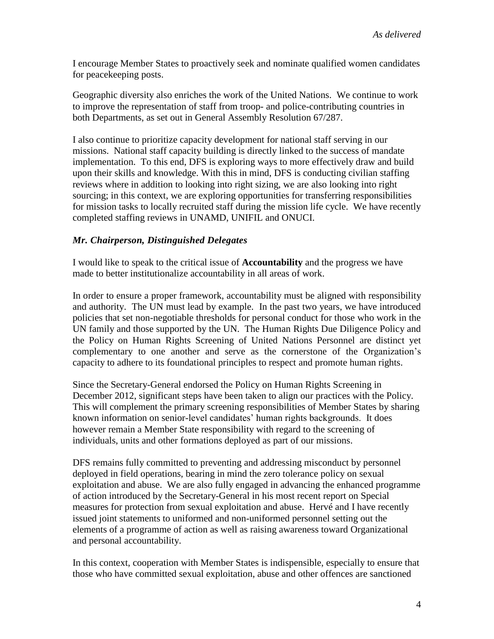I encourage Member States to proactively seek and nominate qualified women candidates for peacekeeping posts.

Geographic diversity also enriches the work of the United Nations. We continue to work to improve the representation of staff from troop- and police-contributing countries in both Departments, as set out in General Assembly Resolution 67/287.

I also continue to prioritize capacity development for national staff serving in our missions. National staff capacity building is directly linked to the success of mandate implementation. To this end, DFS is exploring ways to more effectively draw and build upon their skills and knowledge. With this in mind, DFS is conducting civilian staffing reviews where in addition to looking into right sizing, we are also looking into right sourcing; in this context, we are exploring opportunities for transferring responsibilities for mission tasks to locally recruited staff during the mission life cycle. We have recently completed staffing reviews in UNAMD, UNIFIL and ONUCI.

### *Mr. Chairperson, Distinguished Delegates*

I would like to speak to the critical issue of **Accountability** and the progress we have made to better institutionalize accountability in all areas of work.

In order to ensure a proper framework, accountability must be aligned with responsibility and authority. The UN must lead by example. In the past two years, we have introduced policies that set non-negotiable thresholds for personal conduct for those who work in the UN family and those supported by the UN. The Human Rights Due Diligence Policy and the Policy on Human Rights Screening of United Nations Personnel are distinct yet complementary to one another and serve as the cornerstone of the Organization's capacity to adhere to its foundational principles to respect and promote human rights.

Since the Secretary-General endorsed the Policy on Human Rights Screening in December 2012, significant steps have been taken to align our practices with the Policy. This will complement the primary screening responsibilities of Member States by sharing known information on senior-level candidates' human rights backgrounds. It does however remain a Member State responsibility with regard to the screening of individuals, units and other formations deployed as part of our missions.

DFS remains fully committed to preventing and addressing misconduct by personnel deployed in field operations, bearing in mind the zero tolerance policy on sexual exploitation and abuse. We are also fully engaged in advancing the enhanced programme of action introduced by the Secretary-General in his most recent report on Special measures for protection from sexual exploitation and abuse. Hervé and I have recently issued joint statements to uniformed and non-uniformed personnel setting out the elements of a programme of action as well as raising awareness toward Organizational and personal accountability.

In this context, cooperation with Member States is indispensible, especially to ensure that those who have committed sexual exploitation, abuse and other offences are sanctioned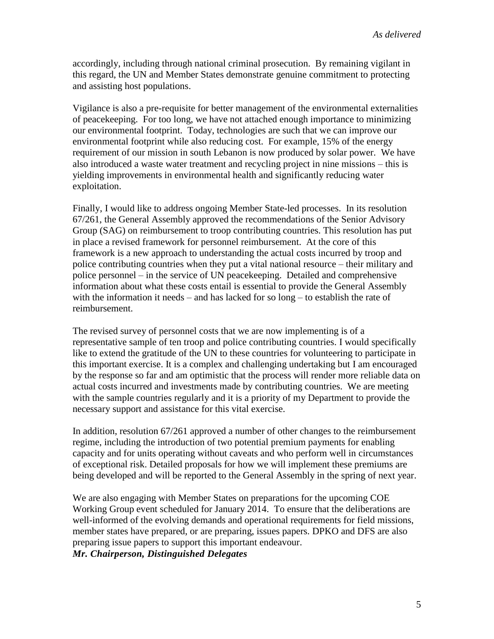accordingly, including through national criminal prosecution. By remaining vigilant in this regard, the UN and Member States demonstrate genuine commitment to protecting and assisting host populations.

Vigilance is also a pre-requisite for better management of the environmental externalities of peacekeeping. For too long, we have not attached enough importance to minimizing our environmental footprint. Today, technologies are such that we can improve our environmental footprint while also reducing cost. For example, 15% of the energy requirement of our mission in south Lebanon is now produced by solar power. We have also introduced a waste water treatment and recycling project in nine missions – this is yielding improvements in environmental health and significantly reducing water exploitation.

Finally, I would like to address ongoing Member State-led processes. In its resolution 67/261, the General Assembly approved the recommendations of the Senior Advisory Group (SAG) on reimbursement to troop contributing countries. This resolution has put in place a revised framework for personnel reimbursement. At the core of this framework is a new approach to understanding the actual costs incurred by troop and police contributing countries when they put a vital national resource – their military and police personnel – in the service of UN peacekeeping. Detailed and comprehensive information about what these costs entail is essential to provide the General Assembly with the information it needs – and has lacked for so long – to establish the rate of reimbursement.

The revised survey of personnel costs that we are now implementing is of a representative sample of ten troop and police contributing countries. I would specifically like to extend the gratitude of the UN to these countries for volunteering to participate in this important exercise. It is a complex and challenging undertaking but I am encouraged by the response so far and am optimistic that the process will render more reliable data on actual costs incurred and investments made by contributing countries. We are meeting with the sample countries regularly and it is a priority of my Department to provide the necessary support and assistance for this vital exercise.

In addition, resolution 67/261 approved a number of other changes to the reimbursement regime, including the introduction of two potential premium payments for enabling capacity and for units operating without caveats and who perform well in circumstances of exceptional risk. Detailed proposals for how we will implement these premiums are being developed and will be reported to the General Assembly in the spring of next year.

We are also engaging with Member States on preparations for the upcoming COE Working Group event scheduled for January 2014. To ensure that the deliberations are well-informed of the evolving demands and operational requirements for field missions, member states have prepared, or are preparing, issues papers. DPKO and DFS are also preparing issue papers to support this important endeavour.

*Mr. Chairperson, Distinguished Delegates*